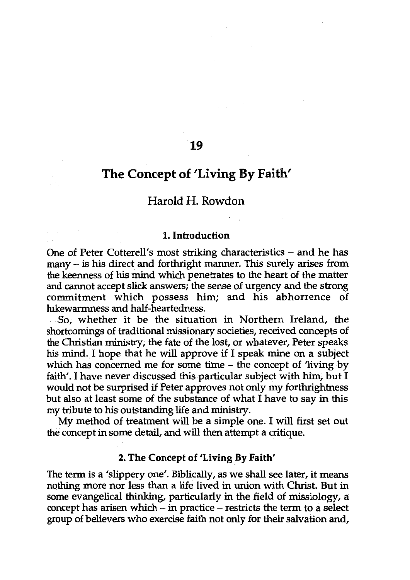# **The Concept of 1 Living By Faith'**

# Harold H. Rowdon

#### **1. Introduction**

One of Peter Cotterell's most striking characteristics - and he has many - is his direct and forthright manner. This surely arises from the keenness of his mind which penetrates to the heart of the matter and cannot accept slick answers; the sense of urgency and the strong commitment which possess him; and his abhorrence of lukewarmness and half-heartedness.

So, whether it be the situation in Northern Ireland, the shortcomings of traditional missionary societies, received concepts of the Christian ministry; the fate of the lost, or whatever, Peter speaks his mind. I hope that he will approve if I speak mine on a subject which has concerned me for some time – the concept of 'living by faith'. I have never discussed this particular subject with him, but I would not be surprised if Peter approves not only my forthrightness but also at least some of the substance of what I have to say in this my tribute to his outstanding life and ministry.

My method of treatment will be a simple one. I will first set out the concept in some detail, and will then attempt a critique.

# **2. The Concept of 'Living By Faith'**

The term is a 'slippery one'. Biblically, as we shall see later, it means nothing more nor less than a life lived in union with Christ. But in some evangelical thinking, particularly in the field of missiology, a concept has arisen which - in practice - restricts the term to a select group of believers who exercise faith not only for their salvation and,

# **19**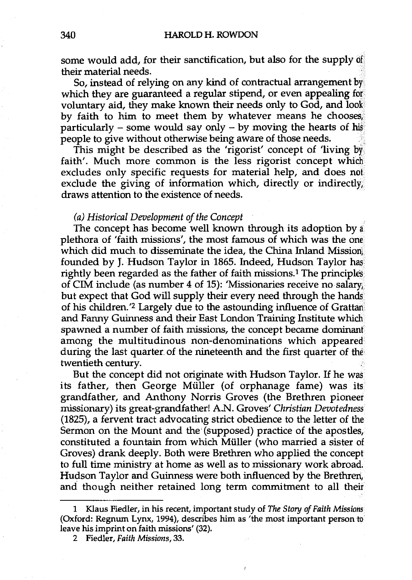some would add, for their sanctification, but also for the supply of their material needs.

So, instead of relying on any kind of contractual arrangement by which they are guaranteed a regular stipend, or even appealing for voluntary aid, they make known their needs only to God, and look by faith to him to meet them by whatever means he chooses, particularly – some would say only – by moving the hearts of his people to give without otherwise being aware of those needs. .

This might be described as the 'rigorist' concept of 'living by faith'. Much more common is the less rigorist concept which excludes only specific requests for material help, and does not exclude the giving of information which, directly or indirectly, draws attention to the existence of needs.

#### *(a) Historical Development of the Concept*

The concept has become well known through its adoption by a plethora of 'faith missions', the most famous of which was the one which did much to disseminate the idea, the China Inland Mission; founded by J. Hudson Taylor in 1865. Indeed, Hudson Taylor has rightly been regarded as the father of faith missions.1 The principles of CIM include (as number 4 of 15): 'Missionaries receive no salary; but expect that God will supply their every need through the hands. of his children. '2 Largely due to the astounding influence of Grattan and Fanny Guinness and their East London Training Institute which spawned a number of faith missions, the concept became dominant among the multitudinous non-denominations which appeared during the last quarter. of the nineteenth and the first quarter of the twentieth century.

But the concept did not originate with Hudson Taylor. If he was its father, then George Müller (of orphanage fame) was its grandfather, and Anthony Norris Groves (the Brethren pioneer missionary) its great-grandfather! A.N. Groves' *Christian Devotedness*  (1825), a fervent tract advocating strict obedience to the letter of the Sermon on the Mount and the (supposed) practice of the apostles, constituted a fountain from which Müller (who married a sister of Groves) drank deeply. Both were Brethren who applied the concept to full time ministry at home as well as to missionary work abroad. Hudson Taylor and Guinness were both influenced by the Brethren, and though neither retained long term commitment to all their

<sup>1</sup> Klaus Fiedler, in his recent, important study of *The Story of Faith Missions*  (Oxford: Regnum Lynx, 1994), describes him as 'the most important person to leave his imprint on faith missions' (32).

<sup>2</sup> Fiedler, *Faith Missions,* 33.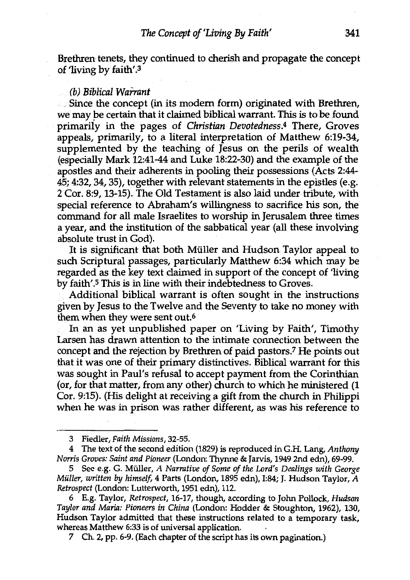Brethren tenets, they continued to cherish and propagate the concept of 'living by faith'.3

#### *(b) Biblical Warrant*

Since the concept (in its modern form) originated with Brethren, we may *pe* certain that it claimed biblical warrant. This is to be found primarily in the pages of *Christian Devotedness.4* There, Groves appeals, primarily, to a literal interpretation of Matthew 6:19-34, supplemented by the teaching of Jesus on the perils of Wealth (especially Mark 12:41-44 and Luke 18:22-30) and the example of the apostles and their adherents in pooling their possessions (Acts 2:44- 45; 4:32, 34, 35), together with relevant statements in the epistles (e.g. 2 Cor. 8:9, 13-15). The Old Testament is also laid under tribute, with special reference to Abraham's willingness to sacrifice his son, the command for all male Israelites to worship in Jerusalem three times a year, and the institution of the sabbatical year (all these involving absolute trust in God).

It is significant that both Miiller and Hudson Taylor appeal to such Scriptural passages, particularly Matthew 6:34 which may be regarded as the key text claimed in support of. the concept of 'living by faith'.5 This is in line with their indebtedness to Groves.

Additional biblical warrant is often sought in the instructions given by Jesus to the Twelve and the Seventy to take no money with them when they were sent out.6

In an as yet unpublished paper on 'Living by Faith', Timothy Larsen has drawn attention to the intimate connection between the concept and the rejection by Brethren of paid pastors.7 He points out that it was one of their primary distinctives. Biblical warrant for this was sought in Paul's refusal to accept payment from the Corinthian (or, for that matter, from any other) church to which he ministered (1 Cor. 9:15). (His delight at receiving a gift from the church in Philippi when he was in prison was rather different, as was his reference to

<sup>3</sup> Fiedler, *Faith Missions,* 32-55.

<sup>4</sup> The text of the second edition (1829) is reproduced in G.H. Lang, *Anthony Norris Groves: Saint and Pioneer* (London: Thynne & Jarvis, 1949 2nd edn), 69-99.

<sup>5</sup> See e.g. G. Milller, *A Narrative of Some of the Lord's Dealings with George Muller, written by himself,* 4 Parts (London, 1895 edn), I:84; J. Hudson Taylor, *A Retrospect* (London: Lutterworth, 1951 edn), 112.

<sup>6</sup> E.g. Taylor, *Retrospect,* 16-17, though, according to John Pollock, *Hudson Taylor and Maria: Pioneers in China* (London: Hodder & Stoughton, 1962), 130, Hudson Taylor admitted that these instructions related to a temporary task, whereas Matthew 6:33 is of universal application.

<sup>7</sup> Ch. 2, pp. 6-9. (Each chapter of the script has its own pagination.)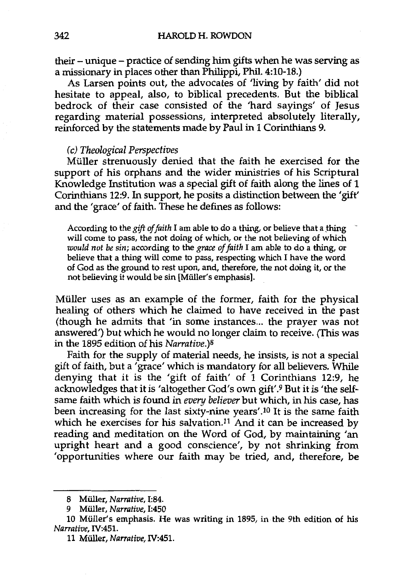their – unique – practice of sending him gifts when he was serving as a missionary in places other than Philippi, Phil. 4:10-18.)

As Larsen points out, the advocates of 'living by faith' did not hesitate to appeal, also, to biblical precedents. But the biblical bedrock of their case consisted of the 'hard sayings' of Jesus regarding material possessions, interpreted absolutely literally, reinforced by the statements made by Paul in 1 Corinthians 9.

#### *(c) Theological Perspectives*

Muller strenuously denied that the faith he exercised for the support of his orphans and the wider ministries of his Scriptural Knowledge Institution was a special gift of faith along the lines of 1 Corinthians 12:9. In support, he posits a distinction between the 'gift' and the 'grace' of faith. These he defines as follows:

According to the *gift of faith* I am able to do a thing, or believe that a thing will come to pass, the not doing of which, or the not believing of which *would not be sin;* according to the *grace of faith* I am able to do a thing, or believe that a thing will come to pass, respecting which I have the word of God as the ground to rest upon, and, therefore, the not doing it, or the not believing it would be sin [Muller's emphasis].

Muller uses as an example of the former, faith for the physical healing of others which he claimed to have received in the past (though he admits that 'in some instances ... the prayer was not answered') but which he would no longer claim to receive. (This was in the 1895 edition of his *Narrative.)B* 

Faith for the supply of material needs, he insists, is not a special gift of faith, but a 'grace' which is mandatory for all believers. While denying that it is the 'gift of faith' of 1 Corinthians 12:9, he acknowledges that it is 'altogether God's own gift'.9 But it is 'the selfsame faith which is found in *every believer* but which, in his case, has been increasing for the last sixty-nine years' .10 It is the same faith which he exercises for his salvation.<sup>11</sup> And it can be increased by reading and meditation on the Word of God, by maintaining 'an upright heart and a good conscience', by not shrinking from 'opportunities where our faith may be tried, and, therefore, be

<sup>8</sup> Millier, *Narrative,* 1:84.

<sup>9</sup> Millier, *Narrative,* 1:450

<sup>10</sup> Muller's emphasis. He was writing in 1895, in the 9th edition of his *Narrative,* IV:451.

<sup>11</sup> Millier, *Narrative,* N:451.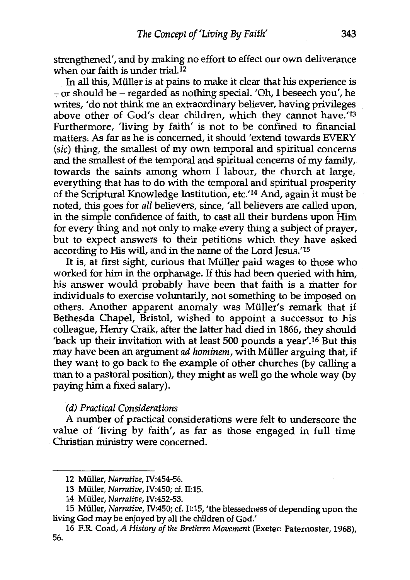strengthened', and by making no effort to effect our own deliverance when our faith is under trial.<sup>12</sup>

In all this, Miiller is at pains to make it clear that his experience is  $-$  or should be – regarded as nothing special. 'Oh, I beseech you', he writes, 'do not think me an extraordinary believer, having privileges above other of God's dear children, which they cannot have.'13 Furthermore, 'living by faith' is not to be confined to financial matters. As far as he is concerned, it should 'extend towards EVERY *(sic)* thing, the smallest of my own temporal and spiritual concerns and the smallest of the temporal and spiritual concerns of my family, towards the saints among whom I labour, the church at large, everything that has to do with the temporal and spiritual prosperity of the Scriptural Knowledge Institution, etc.'14 And, again it must be noted, this goes for *all* believers, since, 'all believers are called upon, in the simple confidence of faith, to cast all their burdens upon Him for every thing and not only to make every thing a subject of prayer, but to expect answers to their petitions which they have asked according to His will, and in the name of the Lord Jesus.'15

It is, at first sight, curious that Miiller paid wages to those who worked for him in the orphanage. If this had been queried with him, his answer would probably have been that faith is a matter for individuals to exercise voluntarily, not something to be imposed on others. Another apparent anomaly was Muller's remark that if Bethesda Chapel, Bristol, wished to appoint a successor to his colleague, Henry Craik, after the latter had died in 1866, they should 'back up their invitation with at least 500 pounds a year'.16 But this may have been an argument *ad hominem,* with Muller arguing that, if they want to go back to the example of other churches (by calling a man to a pastoral position), they might as well go the whole way (by paying him a fixed salary).

# *( d) Practical Considerations*

A number of practical considerations were felt to underscore the value of 'living by faith', as far as those engaged in full time Christian ministry were concerned.

<sup>12</sup> Millier, *Narrative,* IV:454-56.

<sup>13</sup> Miiller, *Narrative,* IV:450; cf. 11:15.

<sup>14</sup> Millier, *Narrative,* IV:452-53.

<sup>15</sup> Millier, *Narrative,* IV:450; cf. 11:15, 'the blessedness of depending upon the living God may be enjoyed by all the children of God.'

<sup>16</sup> F.R Coad, *A History of the Brethren Movement* (Exeter: Paternoster, 1968), 56.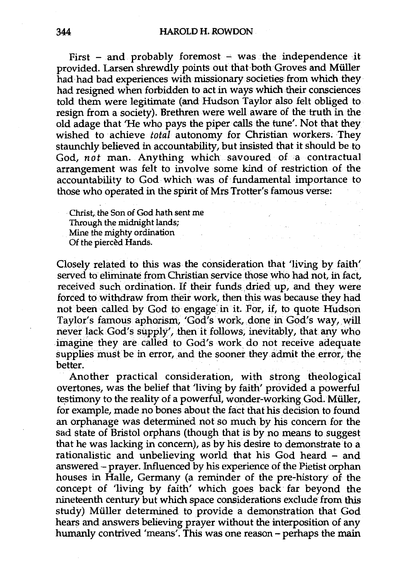First  $-$  and probably foremost  $-$  was the independence it provided. Larsen shrewdly points out that both Groves and Muller had had bad experiences with missionary societies from which they had resigned when forbidden to act in ways which their consciences told them were legitimate (and Hudson Taylor also felt obliged to resign from a society). Brethren were well aware of the truth in the old adage that 'He who pays the piper calls the tune'. Not that they wished to achieve *total* autonomy for Christian workers. They staunchly believed in accountability, but insisted that it should be to God, *not* man. Anything which savoured of a contractual arrangement was felt to involve some kind of restriction of the accountability to God which was of fundamental importance to those who operated in the spirit of Mrs Trotter's famous verse:

Christ, the Son of God hath sent me Through the midnight lands; Mine the mighty ordination Of the pierced Hands.

Closely related to this was the consideration that 'living by faith' served to eliminate from Christian service those who had not, in fact, received such ordination. If their funds dried up, and they were forced to withdraw from their work, then this was because they had not been called by God to engage in it. For, if, to quote Hudson Taylor's famous aphorism, 'God's work, done in God's way, will never lack God's supply', then it follows, inevitably, that any who imagine they are called to God's work. do not receive adequate supplies must be in error, and the sooner they admit the error, the better.

Another practical consideration, with strong theological overtones, was the belief that 'living by faith' provided a powerful testimony to the reality of a powerful, wonder-working God. Müller, for example, made no bones about the fact that his decision to found an orphanage was determined not so much by his concern for the sad state of Bristol orphans (though that is by no means to suggest that he was lacking in concern), as by his desire to demonstrate to a rationalistic and unbelieving world that his God heard - and answered - prayer. Influenced by his experience of the Pietist orphan houses in Halle, Germany (a reminder of the pre-history of the concept of 'living by faith' which goes back far beyond the nineteenth century but which space considerations exclude from this study) Muller determined to provide a demonstration that God hears and answers believing prayer without the interposition of any humanly contrived 'means'. This was one reason - perhaps the main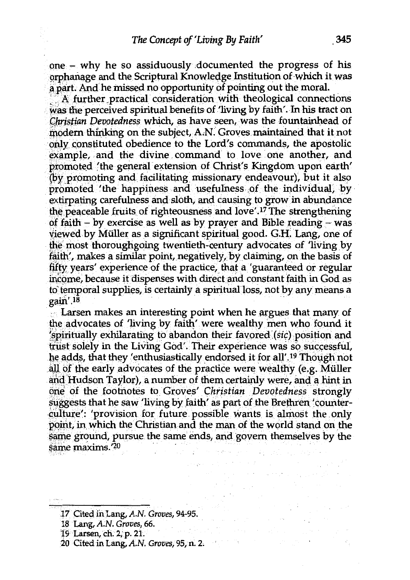one  $-$  why he so assiduously documented the progress of his orphanage and the Scriptural Knowledge Institution of which it was a part. And he missed no opportunity of pointing out the moral.

'.. \_ A further \_practical consideration with theological connections was the perceived spiritual benefits of 'living by faith'. In his tract on *Christian Devotedness* which, as have seen, was the fountainhead of modern thinking on the subject, A.N. Groves maintained that it not only constituted obedience to the Lord's commands, the apostolic example, and the divine command to love one another, and promoted 'the general extension of Christ's Kingdom upon earth' (by promoting and facilitating missionary endeavour), but it also promoted 'the happiness and usefulness of the individual; by extirpating carefulness and-sloth, and causing to grow in abundance the peaceable fruits of righteousness and love'.<sup>17</sup> The strengthening of faith - by exercise as well as by prayer and Bible reading - was \iiewed by Muller as a significant spiritual good. G.H'. Lang, one of the most thoroughgoing twentieth-century advocates of 'living by faith', makes a similar point, negatively, by claiming, on the basis of fifty years' experience of the practice, that a 'guaranteed or regular income, because it dispenses with direct and constant faith in God as to temporal supplies, is certainly a spiritual loss, not by any means a gain'.<sup>18</sup> • C *1* }8 . gam.

 $\sim$  Larsen makes an interesting point when he argues that many of the advocates of 'living by faith' were wealthy men who found it 'spiritually exhilarating to abandon their favored (sic) position and trust solely in the Living God'. Their experience was so successful, he adds, that they 'enthusiastically endorsed it for all'.<sup>19</sup> Though not all of the early advocates of the practice were wealthy (e.g. Müller and Hudson Taylor), a number of them certainly were, and a hint in one of the footnotes to Groves' *Christian Devotedness* strongly suggests that he saw 'living by faith' as part of the Brethren 'counterculture': 'provision for future possible wants is almost the only point, in which the Christian and the man of the world stand on the same ground, pursue the same ends, and govern themselves by the same maxims.'20 the replacement of the party of party of

> $\label{eq:3.1} \frac{1}{2} \exp\left(-\frac{1}{2} \int_{0}^{2} \left(\frac{1}{2} \int_{0}^{2} \left(\frac{1}{2} \int_{0}^{2} \left(\frac{1}{2} \int_{0}^{2} \left(\frac{1}{2} \int_{0}^{2} \left(\frac{1}{2} \int_{0}^{2} \left(\frac{1}{2} \int_{0}^{2} \right) \right) \right) \right) \right) \right) - \frac{1}{2} \int_{0}^{2} \left(\frac{1}{2} \int_{0}^{2} \left(\frac{1}{2} \int_{0}^{2} \left(\frac{1}{2} \int_{0}$ a barat bayan sarta sarta yang bandak da  $\label{eq:2.1} \mathcal{L}^{\mathcal{A}}(\mathcal{A})=\mathcal{L}^{\mathcal{A}}(\mathcal{A})=\mathcal{L}^{\mathcal{A}}(\mathcal{A})=\mathcal{L}^{\mathcal{A}}(\mathcal{A})=\mathcal{L}^{\mathcal{A}}(\mathcal{A})=\mathcal{L}^{\mathcal{A}}(\mathcal{A})$

- 19 Larsen, ch. 2, p. 21.
- 20 Cited in Lang, A.N. Groves, 95, n. 2,

<sup>17</sup> Cited in Lang, A.N. Groves, 94-95.

<sup>18</sup> Lang, A.N. Groves, 66.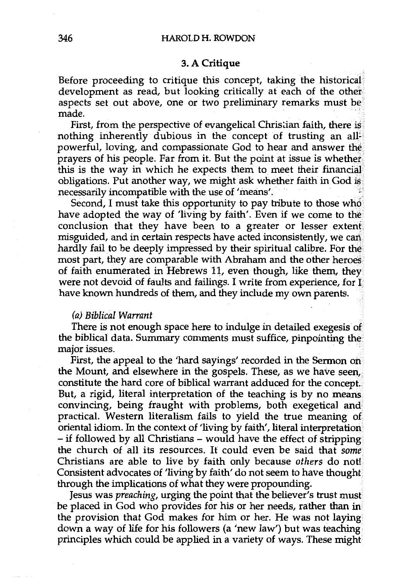## **3. A Critique**

Before proceeding to critique this concept, taking the historical development as read, but looking critically at each of the other aspects set out above, one or two preliminary remarks must be made.

First, from the perspective of evangelical Christian faith, there is nothing inherently dubious in the concept of trusting an all<sup> $\frac{1}{2}$ </sup> powerful, loving, and compassionate God to hear and answer the prayers of his people. Far from it. But the point at issue is whethet this is the way in which he expects them to meet their financial· obligations. Put another way, we might ask whether faith in God is necessarily incompatible with the use of 'means'.

Second, I must take this opportunity to pay tribute to those who have adopted the way of 'living by faith'. Even if we come to the conclusion that they have been to a greater or lesser extent misguided, and in certain respects have acted inconsistently, we can hardly fail to be deeply impressed by their spiritual calibre. For the most part, they are comparable with Abraham and the other heroes of faith enumerated in Hebrews 11, even though, like them, they were not devoid of faults and failings. I write from experience, for l have known hundreds of them, and they include my own parents.

### *(a) Biblical Warrant*

There is not enough space here to indulge in detailed exegesis of the biblical data. Summary comments must suffice, pinpointing the major issues.

First, the appeal to the 'hard sayings' recorded in the Sermon on the Mount, and elsewhere in the gospels. These, as we have seen, constitute the hard core of biblical warrant adduced for the concept. But, a rigid, literal interpretation of the teaching is by no means convincing, being fraught with problems, both exegetical and practical. Western literalism fails to yield the true meaning of oriental idiom. In the context of 'living by faith', literal interpretation·  $-$  if followed by all Christians  $-$  would have the effect of stripping the church of all its resources. It could even be said that *some*  Christians are able to live by faith only because *others* do not! Consistent advocates of 'living by faith' do not seem to have thought through the implications of what they were propounding.

Jesus was *preaching,* urging the point that the believer's trust must be placed in God who provides for his or her needs, rather than in the provision that God makes for him or her. He was not laying down a way of life for his followers (a 'new law') but was teaching principles which could be applied in a variety of ways. These might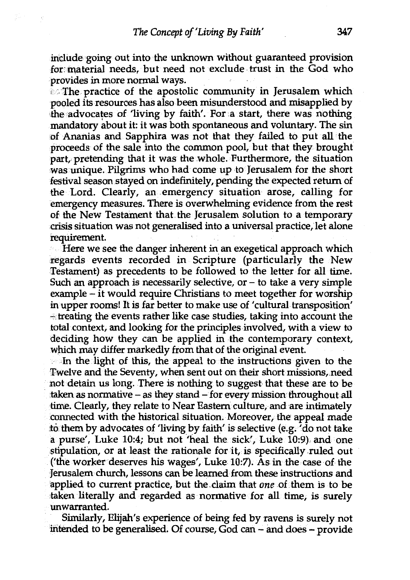include going out into the unknown without guaranteed provision for:material needs, but need not exclude trust in the God who provides in more normal ways.

 $\sim$  The practice of the apostolic community in Jerusalem which pooled its resources has also been misunderstood and misapplied by the advocates of 'living by faith'. For a start, there was nothing mandatory about it: it was both spontaneous and voluntary. The sin of Ananias and Sapphira was not that they failed to put all the proceeds of the sale into the common pool, but that they brought part, pretending that it was the whole. Furthermore, the situation was unique. Pilgrims who had come up to Jerusalem for the short festival season stayed on indefinitely, pending the expected return of the Lord. Clearly, an emergency situation arose, calling for emergency measures. There is overwhelming evidence from the rest of the New Testament that the Jerusalem solution to a temporary .crisis situation was not generalised into a universal practice,let alone requirement.

 $\sim$  Here we see the danger inherent in an exegetical approach which regards events recorded in Scripture (particularly the New Testament) as precedents to be followed to the letter for all time. Such an approach is necessarily selective, or  $-$  to take a very simple example - it would require Christians to meet together for worship in upper rooms! It is far better to make use of 'cultural transposition'  $\triangle$  treating the events rather like case studies, taking into account the total context, and looking for the principles involved, with a view to deciding how they can be applied in the contemporary context, which may differ markedly from that of the original event.

 $\sim$  In the light of this, the appeal to the instructions given to the Twelve and the Seventy, when sent out on their short missions, need not detain us long. There is nothing to suggest that these are to be taken as normative - as they stand - for every mission throughout all time. Clearly, they relate to Near Eastern culture, and are intimately connected with the historical situation. Moreover, the appeal made :to them by advocates of 'living by faith' is selective (e.g. 'do not take a purse', Luke 10:4; but not 'heal the sick', Luke 10:9). and one stipulation, or at least the rationale for it, is specifically ruled out ('the worker deserves his wages', Luke 10:7). As in the case of the Jerusalem church, lessons can be learned from these instructions and applied to current practice, but the claim that *one* of them is to be taken literally and regarded as normative for all time, is surely unwarranted.

Similarly, Elijah's experience of being fed by ravens is surely not intended to be generalised. Of course, God can - and does - provide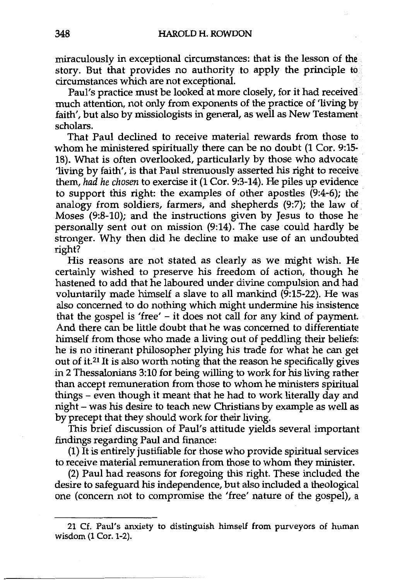miraculously in exceptional circumstances: that is the lesson of the story. But that provides no authority to apply the principle to circumstances which are not exceptional.

Paul's practice must be looked at more closely, for it had received much attention, not only from exponents of the practice of 'living by faith', but also by missiologists in general, as well as New Testament scholars.

That Paul declined to receive material rewards from those to whom he ministered spiritually there can be no doubt (1 Cor. 9:15-18). What is often overlooked, particularly by those who advocate 'living by faith', is that Paul strenuously asserted his right to receive them, *had he chosen* to exercise it (1 Car. 9:3-14). He piles up evidence to support this right: the examples of other apostles (9:4-6); the analogy from soldiers, farmers, and shepherds (9:7); the law of Moses (9:8-10); and the instructions given by Jesus to those he personally sent out on mission (9:14). The case could hardly be stronger. Why then did he decline to make use of an undoubted right?

His reasons are not stated as clearly as we might wish. He certainly wished to preserve his freedom of action, though he hastened to add that he laboured under divine compulsion and had voluntarily made himself a slave to all mankind (9:15-22). He was also concerned to do nothing which might undermine his insistence that the gospel is 'free' - it does not call for any kind of payment. And there can be little doubt that he was concerned to differentiate himself from those who made a living out of peddling their beliefs: he is no itinerant philosopher plying his trade for what he can get out of it.21 It is also worth noting that the reason he specifically gives in 2 Thessalonians 3:10 for being willing to work for his living rather than accept remuneration from those to whom he ministers spiritual things - even though it meant that he had to work literally day and night – was his desire to teach new Christians by example as well as by precept that they should work for their living.

This brief discussion of Paul's attitude yields several important findings regarding Paul and finance:

(1) It is entirely justifiable for those who provide spiritual services to receive material remuneration from those to whom they minister.

(2) Paul had reasons for foregoing this right. These included the desire to safeguard his independence, but also included a theological one (concern not to compromise the 'free' nature of the gospel), a

<sup>21</sup> Cf. Paul's anxiety to distinguish himself from purveyors of human wisdom (1 Cor. 1-2).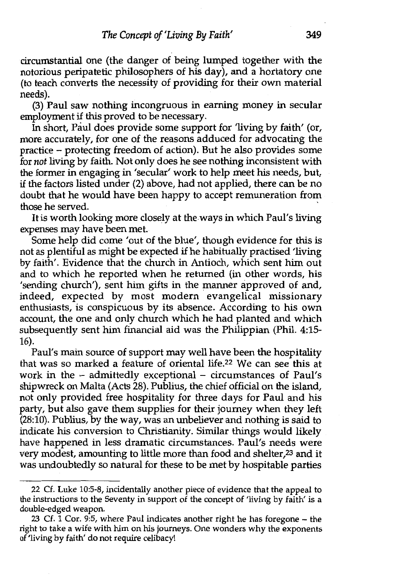circumstantial one (the danger of being lumped together with the notorious peripatetic philosophers of his day), and a hortatory one (to teach converts the necessity of providing for their own material needs).

(3) Paul saw nothing incongruous in earning money in secular employment if this proved to be necessary.

In short, Paul does provide some support for 'living by faith' (or, more accurately, for one of the reasons adduced for advocating the practice - protecting freedom of action). But he also provides some for *not* living by faith. Not only does he see nothing inconsistent with the former in engaging in 'secular' work to help meet his needs, but, if the factors listed under (2) above, had not applied, there can be no doubt that he would have been happy to accept remuneration from those he served. '

It is worth looking more closely at theways in which Paul's living expenses may have been met.

Some help did come 'out of the blue', though evidence for this is not as plentiful as might be expected if he habitually practised 'living by faith'. Evidence that the church in Antioch, which sent him out and to which he reported when he returned (in other words, his 'sending church'), sent him gifts in the manner approved of and, indeed, expected by most modern evangelical missionary enthusiasts, is conspicuous by its absence. According to his own account, the one and only church which he had planted and which subsequently sent him financial aid was the Philippian (Phil. 4:15- 16).

Paul's main source of support may well have been the hospitality that was so marked a feature of oriental life.22 We can see this at work in the  $-$  admittedly exceptional  $-$  circumstances of Paul's shipwreck on Malta (Acts 28). Publius, the chief official on the island, not only provided free hospitality for three days for Paul and his party, but also gave them supplies for their journey when they left (28:10). Publius, by the way, was an unbeliever and nothing is said to indicate his conversion to Christianity. Similar things would likely have happened in less dramatic circumstances. Paul's needs were very modest, amounting to little more than food and shelter,23 and it was undoubtedly so natural for these to be met by hospitable parties

<sup>22</sup> Cf. Luke 10:5-8, incidentally another piece of evidence that the appeal to the instructions to the Seventy in support of the concept of 'living by faith' is a double-edged weapon.

<sup>23</sup> Cf. 1 Cor. 9:5, where Paul indicates another right he has foregone - the right to take a wife with him on his journeys. One wonders why the exponents of 'living by faith' do not require celibacy!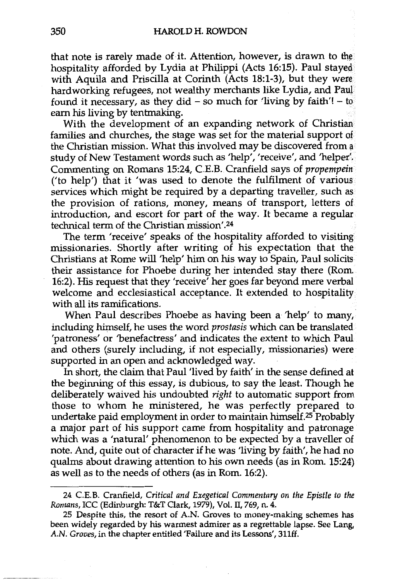that note is rarely made of it. Attention, however, is drawn to the hospitality afforded by Lydia at Philippi (Acts 16:15). Paul stayed with Aquila and Priscilla at Corinth (Acts 18:1-3), but they were hardworking refugees, not wealthy merchants like Lydia, and Paul found it necessary, as they did - so much for 'living by faith'! - to earn his living by tentmaking.

With the development of an expanding network of Christian families and churches, the stage was set for the material support of the Christian mission. What this involved may be discovered from a study of New Testament words such as 'help', 'receive', and 'helper'. Commenting on Romans 15:24, C.E.B. Cranfield says of *propempein*  ('to help') that it 'was used to denote the fulfilment of various services which might be required by a departing traveller, such as the provision of rations, money, means of transport, letters of introduction, and escort for part of the way. It became a regular technical term of the Christian mission'.24

The term 'receive' speaks of the hospitality afforded to visiting missionaries. Shortly after writing of his expectation that the Christians at Rome will 'help' him on his way to Spain, Paul solicits their assistance for Phoebe during her intended stay there (Rom. 16:2). His request that they 'receive' her goes far beyond mere verbal welcome and ecclesiastical acceptance. It extended to hospitality with all its ramifications.

When Paul describes Phoebe as having been a 'help' to many, including himself, he uses the word *prostasis* which can be translated 'patroness' or 'benefactress' and indicates the extent to which Paul and others (surely including, if not especially, missionaries) were supported in an open and acknowledged way.

In short, the claim that Paul 'lived by faith' in the sense defined at the beginning of this essay, is dubious, to say the least. Though he deliberately waived his undoubted *right* to automatic support from those to whom he ministered, he was perfectly prepared to undertake paid employment in order to maintain himself.25 Probably a major part of his support came from hospitality and patronage which was a 'natural' phenomenon to be expected by a traveller of note. And, quite out of character if he was 'living by faith', he had no qualms about drawing attention to his own needs (as in Rom. 15:24) as well as to the needs of others (as in Rom. 16:2).

<sup>24</sup> C.E.B. Cranfield, *Critical and Exegetical Commentary on the Epistle to the Romans,* ICC (Edinburgh: T&T Clark, 1979), Vol. II, 769, n. 4.

<sup>25</sup> Despite this, the resort of A.N. Groves to money-making schemes has been widely regarded by his warmest admirer as a regrettable lapse. See Lang, *A.N. Groves,* in the chapter entitled 'Failure and its Lessons', 311ff.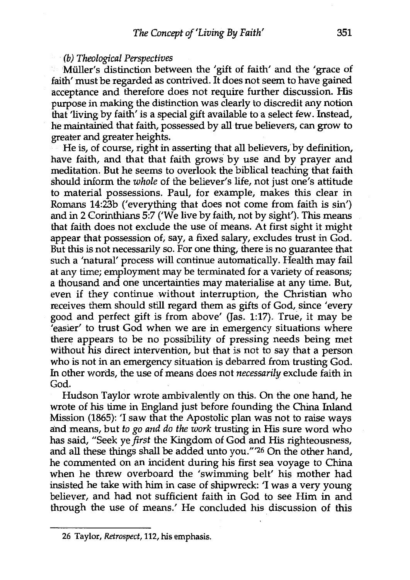# *(b) Theological Perspectives*

Muller's distinction between the 'gift of faith' and the 'grace of faith' must be regarded as contrived. It does not seem to have gained acceptance and therefore does not require further discussion. His purpose in making the distinction was clearly to discredit any notion that 'living by faith' is a special gift available to a select few. Instead, he maintained that faith, possessed by all true believers, can grow to greater and greater heights.

He is, of course, right in asserting that all believers, by definition, have faith, and that that faith grows by use and by prayer and meditation. But he seems to overlook the biblical teaching that faith should inform the *whole* of the believer's life, not just one's attitude to material possessions. Paul, for example, makes this clear in Romans 14:23b ('everything that does not come from faith is sin') and in 2 Corinthians 5:7 ('We live by faith, not by sight'). This means that faith does not exclude the use of means. At first sight it might appear that possession of, say, a fixed salary, excludes trust in God. But this is not necessarily so. For one thing, there is no guarantee that such a 'natural' process will continue automatically. Health may fail at any time; employment may be terminated for a variety of reasons; a thousand and one uncertainties may materialise at any time. But, even if they continue without interruption, the Christian who receives them should still regard them as gifts of God, since 'every good and perfect gift is from above' (Jas. 1:17). True, it may be 'easier' to trust God when we are in emergency situations where there appears to be no possibility of pressing needs being met without his direct intervention, but that is not to say that a person who is not in an emergency situation is debarred from trusting God. In other words, the use of means does not *necessarily* exclude faith in God.

Hudson Taylor wrote ambivalently on this. On the one hand, he wrote of his time in England just before founding the China Inland Mission (1865): 'I saw that the Apostolic plan was not to raise ways and means, but *to go and do the work* trusting in His sure word who has said, "Seek ye *first* the Kingdom of God and His righteousness, and all these things shall be added unto you."'26 On the other hand, he commented on an incident during his first sea voyage to China when he threw overboard the 'swimming belt' his mother had insisted he take with him in case of shipwreck: 'I was a very young believer, and had not sufficient faith in God to see Him in and through the use of means.' He concluded his discussion of this

<sup>26</sup> Taylor, *Retrospect*, 112, his emphasis.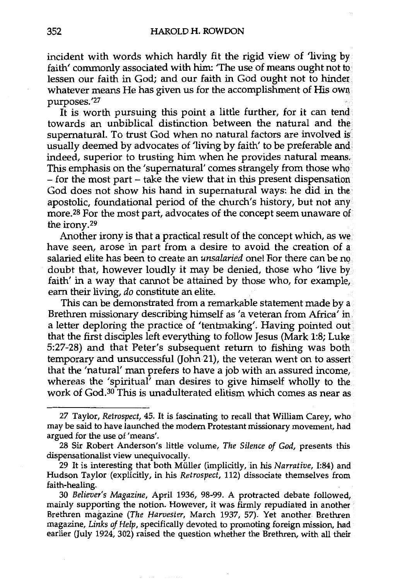incident with words which hardly fit the rigid view of 'living by faith' commonly associated with him: 'The use of means ought not to lessen our faith in God; and our faith in God ought not to hinder whatever means He has given us for the accomplishment of His own purposes. '27

It is worth pursuing this point a little further, for it can tend towards an unbiblical distinction between the natural and the supernatural. To trust God when no natural factors are involved is usually deemed by advocates of 'living by faith' to be preferable and indeed, superior to trusting him when he provides natural means. This emphasis on the 'supernatural' comes strangely from those who - for the most part - take the view that in this present dispensation God does not show his hand in supernatural ways: he did in the apostolic, foundational period of the church's history, but not any more.<sup>28</sup> For the most part, advocates of the concept seem unaware of the irony.29

Another irony is that a practical result of the concept which, as we have seen, arose in part from a desire to avoid the creation of a salaried elite has been to create an *unsalaried* one! Ror there can be no doubt that, however loudly it may be denied, those who 'live by faith' in a way that cannot be attained by those who, for example, earn their living, *do* constitute an elite.

This can be demonstrated from a remarkable statement made by a Brethren missionary describing himself as 'a veteran from Africa' in a letter deploring the practice of 'tentmaking'. Having pointed out that the first disciples left everything to follow Jesus (Mark 1:8; Luke 5:27-28) and that Peter's subsequent return to fishing was both temporary and unsuccessful (John 21), the veteran went on to assert that the 'natural' man prefers to have a job with an assured income, whereas the 'spiritual' man desires to give himself wholly to the work of God.<sup>30</sup> This is unadulterated elitism which comes as near as

30 *Believer's Magazine,* April 1936, 98-99. A protracted debate followed, mainly supporting the notion. However, it was firmly repudiated in another Brethren magazine *(The Harvester,* March 1937, 57). Yet another Brethren magazine, *Links of Help,* specifically devoted to promoting foreign mission, had earlier (July 1924, 302) raised the question whether the Brethren, with all their

<sup>27</sup> Taylor, *Retrospect,* 45. It is fascinating to recall that William Carey, who may be said to have launched the modern Protestant missionary movement, had argued for the use of 'means'.

<sup>28</sup> Sir Robert Anderson's little volume, *The Silence of God,* presents this dispensationalist view unequivocally.

<sup>29</sup> It is interesting that both Muller (implicitly, in his *Narrative,* 1:84) and Hudson Taylor (explicitly, in his *Retrospect,* 112) dissociate themselves from faith-healing.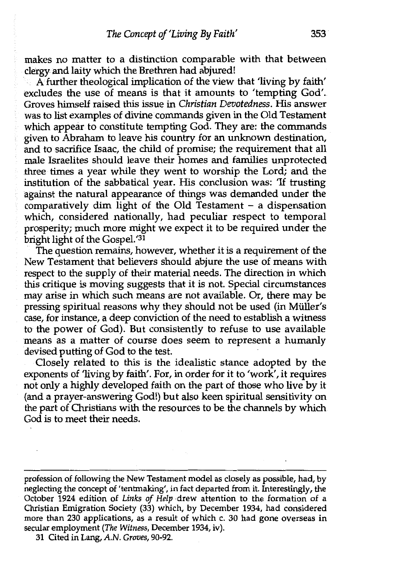makes no matter to a distinction comparable with that between clergy and laity which the Brethren had abjured!

A further theological implication of the view that 'living by faith' excludes the use of means is that it amounts to 'tempting God'. Groves himself raised this issue in *Christian Devotedness.* His answer was to list examples of divine commands given in the Old Testament which appear to constitute tempting God. They are: the commands given to Abraham to leave his country for an unknown destination, and to sacrifice Isaac, the child of promise; the requirement that all male Israelites should leave their homes and families unprotected three times a year while they went to worship the Lord; and the institution of the sabbatical year. His conclusion was: 'If trusting against the natural appearance of things was demanded under the comparatively dim light of the Old Testament  $-$  a dispensation which, considered nationally, had peculiar respect to temporal prosperity; much more might we expect it to be required under the bright light of the Gospel.'<sup>31</sup>

The question remains, however, whether it is a requirement of the New Testament that believers should abjure the use of means with respect to the supply of their material needs. The direction in which this critique is moving suggests that it is not. Special circumstances may arise in which such means are not available. Or, there may be pressing spiritual reasons why they should not be used (in Muller's case, for instance, a deep conviction of the need to establish a witness to the power of God). But consistently to refuse to use available means as a matter of course does seem to represent a humanly devised putting of God to the test.

Closely related to this is the idealistic stance adopted by the exponents of 'living by faith'. For, in order for it to 'work', it requires not only a highly developed faith on the part of those who live by it (and a prayer-answering God!) but also keen spiritual sensitivity on the part of Christians with the resources to be. the channels by which God is to meet their needs.

profession of following the New Testament model as closely as possible, had, by neglecting the concept of 'tentmaking', in fact departed from it. Interestingly, the October 1924 edition of *Links of Help* drew attention to the formation of a Christian Emigration Society (33) which, by December 1934, had considered more than 230 applications, as a result of which c. 30 had gone overseas in secular employment *(The Witness,* December 1934, iv).

<sup>31</sup> Cited in Lang, A.N. *Groves,* 90-92.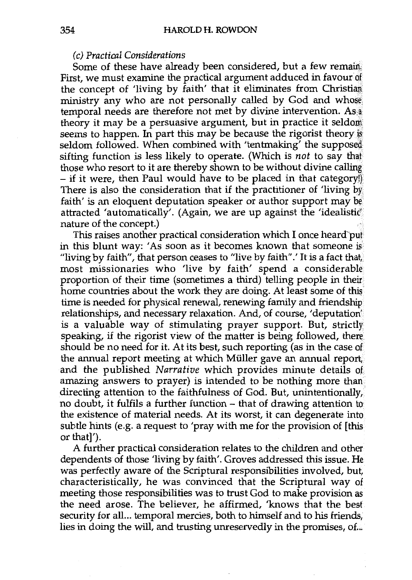#### *( c) Practical Considerations*

Some of these have already been considered, but a few remain: First, we must examine the practical argument adduced in favour of the concept of 'living by faith' that it eliminates from Christian ministry any who are not personally called by God and whose. temporal needs are therefore not met by divine intervention. As a theory it may be a persuasive argument, but in practice it seldom seems to happen. In part this may be because the rigorist theory is seldom followed. When combined with 'tentmaking' the supposed sifting function is less likely to operate. (Which is *not* to say that those who resort to it are thereby shown to be without divine calling  $-$  if it were, then Paul would have to be placed in that category!) There is also the consideration that if the practitioner of 'living by faith' is an eloquent deputation speaker or author support may be attracted 'automatically'. (Again, we are up against the 'idealistic' nature of the concept.)

This raises another practical consideration which I once heard put in this blunt way: 'As soon as it becomes known that someone is "living by faith", that person ceases to "live by faith".' It is a fact that, most missionaries who 'live by faith' spend a considerable proportion of their time (sometimes a third) telling people in their home countries about the work they are doing. At least some of this time is needed for physical renewal, renewing family and friendship relationships, and necessary relaxation. And, of course, 'deputation' is a valuable way of stimulating prayer support. But, strictly speaking, if the rigorist view of the matter is being followed, there should be no need for it. At its best, such reporting (as in the case of the annual report meeting at which Miiller gave an annual report, and the published *Narrative* which provides minute details of amazing answers to prayer) is intended to be nothing more than. directing attention to the faithfulness of God. But, unintentionally, no doubt, it fulfils a further function - that of drawing attention to the existence of material needs. At its worst, it can degenerate into subtle hints (e.g. a request to 'pray with me for the provision of [this] or that]').

A further practical consideration relates to the children and other dependents of those 'living by faith'. Groves addressed this issue. He was perfectly aware of the Scriptural responsibilities involved, but, characteristically, he was convinced that the Scriptural way of meeting those responsibilities was to trust God to make provision as the need arose. The believer, he affirmed, 'knows that the best security for all... temporal mercies, both to himself and to his friends, lies in doing the will, and trusting unreservedly in the promises, of...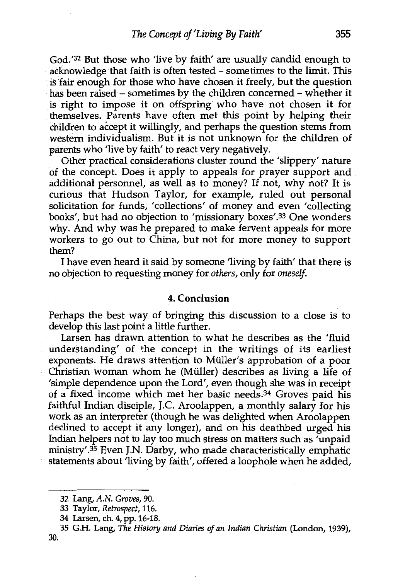God.'32 But those who 'live by faith' are usually candid enough to acknowledge that faith is often tested - sometimes to the limit. This is fair enough for those who have chosen it freely, but the question has been raised – sometimes by the children concerned – whether it is right to impose it on offspring who have not chosen it for themselves. Parents have often met this point by helping their children to accept it willingly, and perhaps the question stems from western individualism. But it is not unknown for the children of parents who 'live by faith' to react very negatively.

Other practical considerations cluster round the 'slippery' nature of the concept. Does it apply to appeals for prayer support and additional personnel, as well as to money? If not, why not? It is curious that Hudson Taylor, for example, ruled out personal solicitation for funds, 'collections' of money and even 'collecting books', but had no objection to 'missionary boxes'.33 One wonders why. And why was he prepared to make fervent appeals for more workers to go out to China, but not for more money to support them?

I have even heard it said by someone 'living by faith' that there is no objection to requesting money for *others,* only for *oneself* 

### 4. **Conclusion**

Perhaps the best way of bringing this discussion to a close is to develop this last point a little further.

Larsen has drawn attention to what he describes as the 'fluid understanding' of the concept in the writings of its earliest exponents. He draws attention to Muller's approbation of a poor Christian woman whom he (Muller) describes as living a life of 'simple dependence upon the Lord', even though she was in receipt of a fixed income which met her basic needs.34 Groves paid his faithful Indian disciple, J.C. Aroolappen, a monthly salary for his work as an interpreter (though he was delighted when Aroolappen declined to accept it any longer), and on his deathbed urged his Indian helpers not to lay too much stress on matters such as 'unpaid ministry'.35 Even J.N. Darby, who made characteristically emphatic statements about 'living by faith', offered a loophole when he added,

<sup>32</sup> Lang, *A.N. Groves,* 90.

<sup>33</sup> Taylor, *Retrospect,* 116.

<sup>34</sup> Larsen, eh. 4, pp. 16-18.

<sup>35</sup> G.H. Lang, *The History and Diaries of an Indian Christian* (London, 1939), 30.